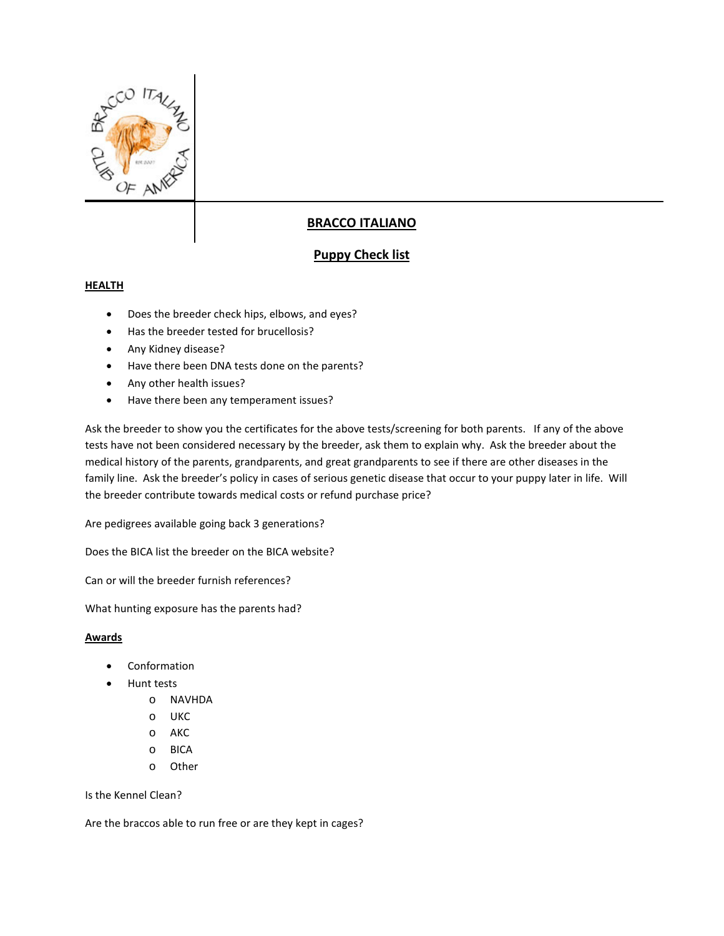

## **BRACCO ITALIANO**

## **Puppy Check list**

## **HEALTH**

- Does the breeder check hips, elbows, and eyes?
- Has the breeder tested for brucellosis?
- Any Kidney disease?
- Have there been DNA tests done on the parents?
- Any other health issues?
- Have there been any temperament issues?

Ask the breeder to show you the certificates for the above tests/screening for both parents. If any of the above tests have not been considered necessary by the breeder, ask them to explain why. Ask the breeder about the medical history of the parents, grandparents, and great grandparents to see if there are other diseases in the family line. Ask the breeder's policy in cases of serious genetic disease that occur to your puppy later in life. Will the breeder contribute towards medical costs or refund purchase price?

Are pedigrees available going back 3 generations?

Does the BICA list the breeder on the BICA website?

Can or will the breeder furnish references?

What hunting exposure has the parents had?

## **Awards**

- Conformation
- Hunt tests
	- o NAVHDA
	- o UKC
	- o AKC
	- o BICA
	- o Other

Is the Kennel Clean?

Are the braccos able to run free or are they kept in cages?